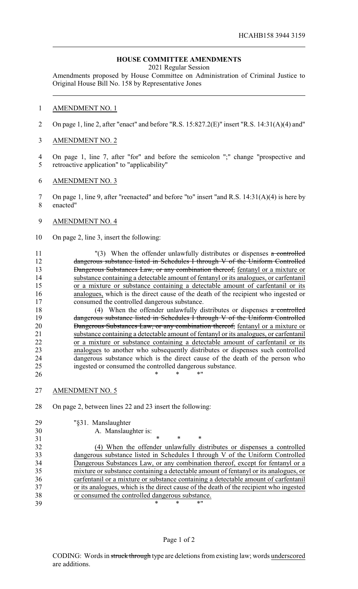# **HOUSE COMMITTEE AMENDMENTS**

2021 Regular Session

Amendments proposed by House Committee on Administration of Criminal Justice to Original House Bill No. 158 by Representative Jones

# AMENDMENT NO. 1

On page 1, line 2, after "enact" and before "R.S. 15:827.2(E)" insert "R.S. 14:31(A)(4) and"

# AMENDMENT NO. 2

 On page 1, line 7, after "for" and before the semicolon ";" change "prospective and retroactive application" to "applicability"

### AMENDMENT NO. 3

 On page 1, line 9, after "reenacted" and before "to" insert "and R.S. 14:31(A)(4) is here by enacted"

# AMENDMENT NO. 4

On page 2, line 3, insert the following:

11 "(3) When the offender unlawfully distributes or dispenses a controlled dangerous substance listed in Schedules I through V of the Uniform Controlled 13 Dangerous Substances Law, or any combination thereof, fentanyl or a mixture or substance containing a detectable amount of fentanyl or its analogues, or carfentanil or a mixture or substance containing a detectable amount of carfentanil or its analogues, which is the direct cause of the death of the recipient who ingested or consumed the controlled dangerous substance.

18 (4) When the offender unlawfully distributes or dispenses  $\alpha$  controlled 19 dangerous substance listed in Schedules I through V of the Uniform Controlled 20 Dangerous Substances Law, or any combination thereof, fentanyl or a mixture or substance containing a detectable amount of fentanyl or its analogues, or carfentanil or a mixture or substance containing a detectable amount of carfentanil or its analogues to another who subsequently distributes or dispenses such controlled dangerous substance which is the direct cause of the death of the person who ingested or consumed the controlled dangerous substance. 26 \* \* \* \* \* \*

AMENDMENT NO. 5

On page 2, between lines 22 and 23 insert the following:

| 29 | "§31. Manslaughter |
|----|--------------------|
|    |                    |

A. Manslaughter is:

 $*$  \* \* \* (4) When the offender unlawfully distributes or dispenses a controlled dangerous substance listed in Schedules I through V of the Uniform Controlled Dangerous Substances Law, or any combination thereof, except for fentanyl or a mixture or substance containing a detectable amount of fentanyl or its analogues, or carfentanil or a mixture or substance containing a detectable amount of carfentanil or its analogues, which is the direct cause of the death of the recipient who ingested or consumed the controlled dangerous substance. \* \* \*"